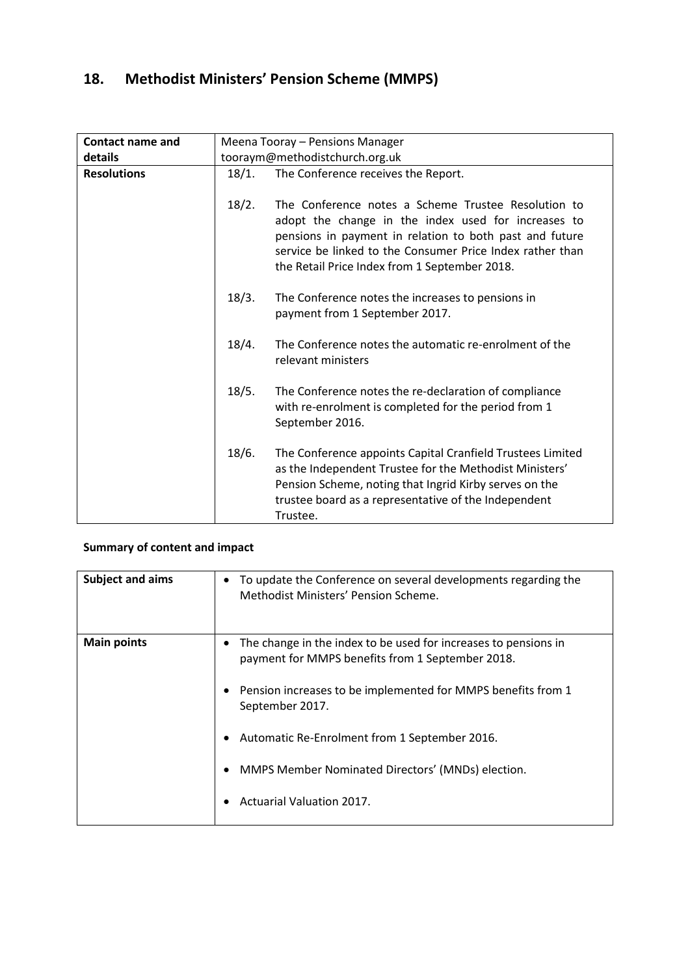# **18. Methodist Ministers' Pension Scheme (MMPS)**

| <b>Contact name and</b> | Meena Tooray - Pensions Manager |                                                                                                                                                                                                                                                                                     |
|-------------------------|---------------------------------|-------------------------------------------------------------------------------------------------------------------------------------------------------------------------------------------------------------------------------------------------------------------------------------|
| details                 | tooraym@methodistchurch.org.uk  |                                                                                                                                                                                                                                                                                     |
| <b>Resolutions</b>      | 18/1.                           | The Conference receives the Report.                                                                                                                                                                                                                                                 |
|                         | 18/2.                           | The Conference notes a Scheme Trustee Resolution to<br>adopt the change in the index used for increases to<br>pensions in payment in relation to both past and future<br>service be linked to the Consumer Price Index rather than<br>the Retail Price Index from 1 September 2018. |
|                         | 18/3.                           | The Conference notes the increases to pensions in<br>payment from 1 September 2017.                                                                                                                                                                                                 |
|                         | 18/4.                           | The Conference notes the automatic re-enrolment of the<br>relevant ministers                                                                                                                                                                                                        |
|                         | 18/5.                           | The Conference notes the re-declaration of compliance<br>with re-enrolment is completed for the period from 1<br>September 2016.                                                                                                                                                    |
|                         | 18/6.                           | The Conference appoints Capital Cranfield Trustees Limited<br>as the Independent Trustee for the Methodist Ministers'<br>Pension Scheme, noting that Ingrid Kirby serves on the<br>trustee board as a representative of the Independent<br>Trustee.                                 |

### **Summary of content and impact**

| Subject and aims   | To update the Conference on several developments regarding the<br>Methodist Ministers' Pension Scheme.                                                                                                                                                                                                                                    |
|--------------------|-------------------------------------------------------------------------------------------------------------------------------------------------------------------------------------------------------------------------------------------------------------------------------------------------------------------------------------------|
| <b>Main points</b> | The change in the index to be used for increases to pensions in<br>payment for MMPS benefits from 1 September 2018.<br>Pension increases to be implemented for MMPS benefits from 1<br>September 2017.<br>Automatic Re-Enrolment from 1 September 2016.<br>MMPS Member Nominated Directors' (MNDs) election.<br>Actuarial Valuation 2017. |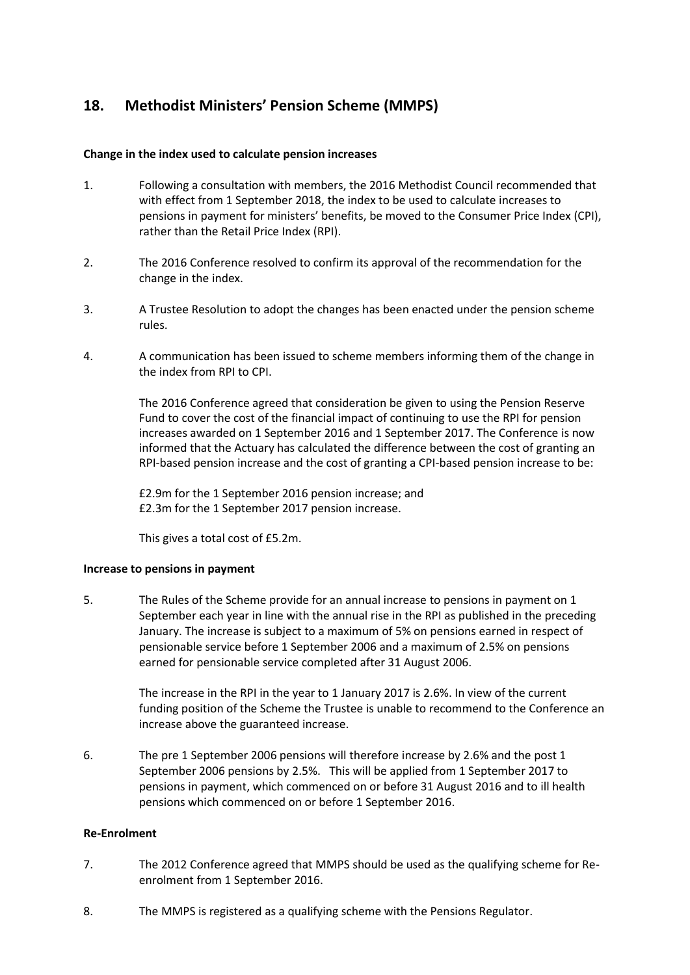## **18. Methodist Ministers' Pension Scheme (MMPS)**

#### **Change in the index used to calculate pension increases**

- 1. Following a consultation with members, the 2016 Methodist Council recommended that with effect from 1 September 2018, the index to be used to calculate increases to pensions in payment for ministers' benefits, be moved to the Consumer Price Index (CPI), rather than the Retail Price Index (RPI).
- 2. The 2016 Conference resolved to confirm its approval of the recommendation for the change in the index.
- 3. A Trustee Resolution to adopt the changes has been enacted under the pension scheme rules.
- 4. A communication has been issued to scheme members informing them of the change in the index from RPI to CPI.

The 2016 Conference agreed that consideration be given to using the Pension Reserve Fund to cover the cost of the financial impact of continuing to use the RPI for pension increases awarded on 1 September 2016 and 1 September 2017. The Conference is now informed that the Actuary has calculated the difference between the cost of granting an RPI-based pension increase and the cost of granting a CPI-based pension increase to be:

£2.9m for the 1 September 2016 pension increase; and £2.3m for the 1 September 2017 pension increase.

This gives a total cost of £5.2m.

#### **Increase to pensions in payment**

5. The Rules of the Scheme provide for an annual increase to pensions in payment on 1 September each year in line with the annual rise in the RPI as published in the preceding January. The increase is subject to a maximum of 5% on pensions earned in respect of pensionable service before 1 September 2006 and a maximum of 2.5% on pensions earned for pensionable service completed after 31 August 2006.

> The increase in the RPI in the year to 1 January 2017 is 2.6%. In view of the current funding position of the Scheme the Trustee is unable to recommend to the Conference an increase above the guaranteed increase.

6. The pre 1 September 2006 pensions will therefore increase by 2.6% and the post 1 September 2006 pensions by 2.5%. This will be applied from 1 September 2017 to pensions in payment, which commenced on or before 31 August 2016 and to ill health pensions which commenced on or before 1 September 2016.

#### **Re-Enrolment**

- 7. The 2012 Conference agreed that MMPS should be used as the qualifying scheme for Reenrolment from 1 September 2016.
- 8. The MMPS is registered as a qualifying scheme with the Pensions Regulator.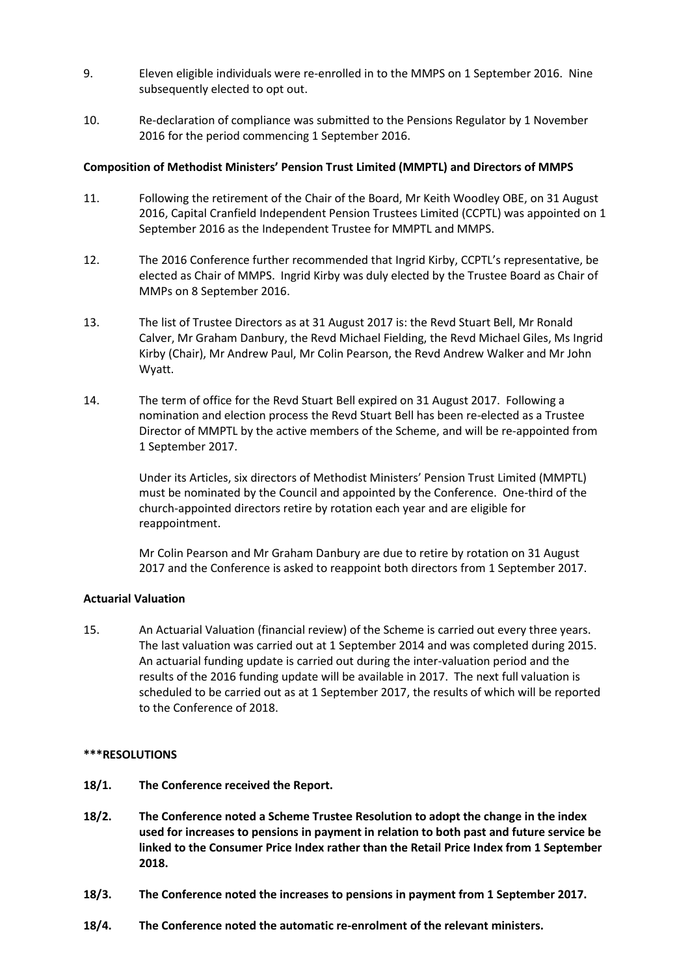- 9. Eleven eligible individuals were re-enrolled in to the MMPS on 1 September 2016. Nine subsequently elected to opt out.
- 10. Re-declaration of compliance was submitted to the Pensions Regulator by 1 November 2016 for the period commencing 1 September 2016.

#### **Composition of Methodist Ministers' Pension Trust Limited (MMPTL) and Directors of MMPS**

- 11. Following the retirement of the Chair of the Board, Mr Keith Woodley OBE, on 31 August 2016, Capital Cranfield Independent Pension Trustees Limited (CCPTL) was appointed on 1 September 2016 as the Independent Trustee for MMPTL and MMPS.
- 12. The 2016 Conference further recommended that Ingrid Kirby, CCPTL's representative, be elected as Chair of MMPS. Ingrid Kirby was duly elected by the Trustee Board as Chair of MMPs on 8 September 2016.
- 13. The list of Trustee Directors as at 31 August 2017 is: the Revd Stuart Bell, Mr Ronald Calver, Mr Graham Danbury, the Revd Michael Fielding, the Revd Michael Giles, Ms Ingrid Kirby (Chair), Mr Andrew Paul, Mr Colin Pearson, the Revd Andrew Walker and Mr John Wyatt.
- 14. The term of office for the Revd Stuart Bell expired on 31 August 2017. Following a nomination and election process the Revd Stuart Bell has been re-elected as a Trustee Director of MMPTL by the active members of the Scheme, and will be re-appointed from 1 September 2017.

Under its Articles, six directors of Methodist Ministers' Pension Trust Limited (MMPTL) must be nominated by the Council and appointed by the Conference. One-third of the church-appointed directors retire by rotation each year and are eligible for reappointment.

Mr Colin Pearson and Mr Graham Danbury are due to retire by rotation on 31 August 2017 and the Conference is asked to reappoint both directors from 1 September 2017.

#### **Actuarial Valuation**

15. An Actuarial Valuation (financial review) of the Scheme is carried out every three years. The last valuation was carried out at 1 September 2014 and was completed during 2015. An actuarial funding update is carried out during the inter-valuation period and the results of the 2016 funding update will be available in 2017. The next full valuation is scheduled to be carried out as at 1 September 2017, the results of which will be reported to the Conference of 2018.

#### **\*\*\*RESOLUTIONS**

- **18/1. The Conference received the Report.**
- **18/2. The Conference noted a Scheme Trustee Resolution to adopt the change in the index used for increases to pensions in payment in relation to both past and future service be linked to the Consumer Price Index rather than the Retail Price Index from 1 September 2018.**
- **18/3. The Conference noted the increases to pensions in payment from 1 September 2017.**
- **18/4. The Conference noted the automatic re-enrolment of the relevant ministers.**